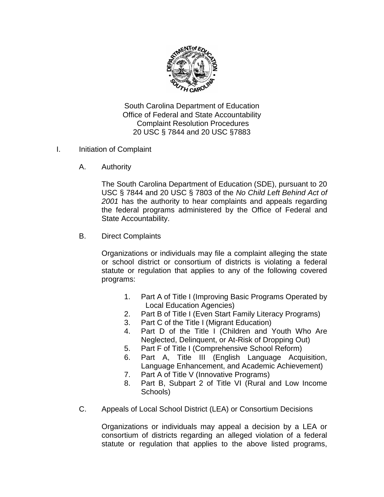

South Carolina Department of Education Office of Federal and State Accountability Complaint Resolution Procedures 20 USC § 7844 and 20 USC §7883

- I. Initiation of Complaint
	- A. Authority

The South Carolina Department of Education (SDE), pursuant to 20 USC § 7844 and 20 USC § 7803 of the *No Child Left Behind Act of 2001* has the authority to hear complaints and appeals regarding the federal programs administered by the Office of Federal and State Accountability.

B. Direct Complaints

Organizations or individuals may file a complaint alleging the state or school district or consortium of districts is violating a federal statute or regulation that applies to any of the following covered programs:

- 1. Part A of Title I (Improving Basic Programs Operated by Local Education Agencies)
- 2. Part B of Title I (Even Start Family Literacy Programs)
- 3. Part C of the Title I (Migrant Education)
- 4. Part D of the Title I (Children and Youth Who Are Neglected, Delinquent, or At-Risk of Dropping Out)
- 5. Part F of Title I (Comprehensive School Reform)
- 6. Part A, Title III (English Language Acquisition, Language Enhancement, and Academic Achievement)
- 7. Part A of Title V (Innovative Programs)
- 8. Part B, Subpart 2 of Title VI (Rural and Low Income Schools)
- C. Appeals of Local School District (LEA) or Consortium Decisions

Organizations or individuals may appeal a decision by a LEA or consortium of districts regarding an alleged violation of a federal statute or regulation that applies to the above listed programs,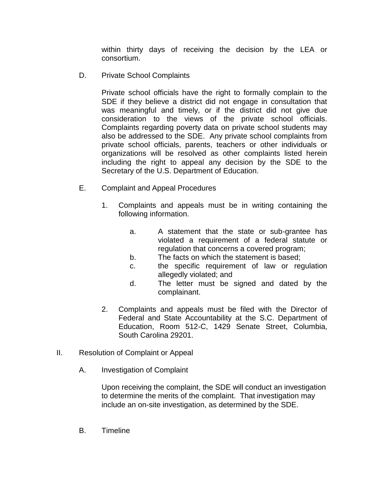within thirty days of receiving the decision by the LEA or consortium.

D. Private School Complaints

Private school officials have the right to formally complain to the SDE if they believe a district did not engage in consultation that was meaningful and timely, or if the district did not give due consideration to the views of the private school officials. Complaints regarding poverty data on private school students may also be addressed to the SDE. Any private school complaints from private school officials, parents, teachers or other individuals or organizations will be resolved as other complaints listed herein including the right to appeal any decision by the SDE to the Secretary of the U.S. Department of Education.

- E. Complaint and Appeal Procedures
	- 1. Complaints and appeals must be in writing containing the following information.
		- a. A statement that the state or sub-grantee has violated a requirement of a federal statute or regulation that concerns a covered program;
		- b. The facts on which the statement is based;
		- c. the specific requirement of law or regulation allegedly violated; and
		- d. The letter must be signed and dated by the complainant.
	- 2. Complaints and appeals must be filed with the Director of Federal and State Accountability at the S.C. Department of Education, Room 512-C, 1429 Senate Street, Columbia, South Carolina 29201.
- II. Resolution of Complaint or Appeal
	- A. Investigation of Complaint

Upon receiving the complaint, the SDE will conduct an investigation to determine the merits of the complaint. That investigation may include an on-site investigation, as determined by the SDE.

B. Timeline